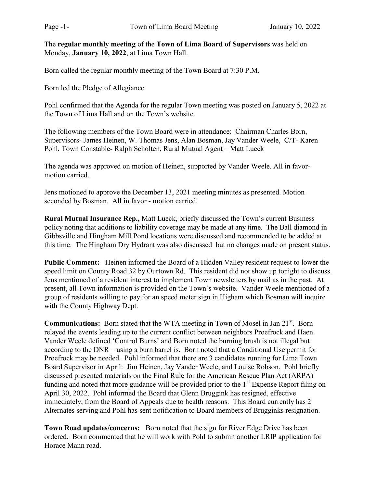The regular monthly meeting of the Town of Lima Board of Supervisors was held on Monday, January 10, 2022, at Lima Town Hall.

Born called the regular monthly meeting of the Town Board at 7:30 P.M.

Born led the Pledge of Allegiance.

Pohl confirmed that the Agenda for the regular Town meeting was posted on January 5, 2022 at the Town of Lima Hall and on the Town's website.

The following members of the Town Board were in attendance: Chairman Charles Born, Supervisors- James Heinen, W. Thomas Jens, Alan Bosman, Jay Vander Weele, C/T- Karen Pohl, Town Constable- Ralph Scholten, Rural Mutual Agent – Matt Lueck

The agenda was approved on motion of Heinen, supported by Vander Weele. All in favormotion carried.

Jens motioned to approve the December 13, 2021 meeting minutes as presented. Motion seconded by Bosman. All in favor - motion carried.

Rural Mutual Insurance Rep., Matt Lueck, briefly discussed the Town's current Business policy noting that additions to liability coverage may be made at any time. The Ball diamond in Gibbsville and Hingham Mill Pond locations were discussed and recommended to be added at this time. The Hingham Dry Hydrant was also discussed but no changes made on present status.

Public Comment: Heinen informed the Board of a Hidden Valley resident request to lower the speed limit on County Road 32 by Ourtown Rd. This resident did not show up tonight to discuss. Jens mentioned of a resident interest to implement Town newsletters by mail as in the past. At present, all Town information is provided on the Town's website. Vander Weele mentioned of a group of residents willing to pay for an speed meter sign in Higham which Bosman will inquire with the County Highway Dept.

**Communications:** Born stated that the WTA meeting in Town of Mosel in Jan  $21<sup>st</sup>$ . Born relayed the events leading up to the current conflict between neighbors Proefrock and Haen. Vander Weele defined 'Control Burns' and Born noted the burning brush is not illegal but according to the DNR – using a burn barrel is. Born noted that a Conditional Use permit for Proefrock may be needed. Pohl informed that there are 3 candidates running for Lima Town Board Supervisor in April: Jim Heinen, Jay Vander Weele, and Louise Robson. Pohl briefly discussed presented materials on the Final Rule for the American Rescue Plan Act (ARPA) funding and noted that more guidance will be provided prior to the  $1<sup>st</sup>$  Expense Report filing on April 30, 2022. Pohl informed the Board that Glenn Bruggink has resigned, effective immediately, from the Board of Appeals due to health reasons. This Board currently has 2 Alternates serving and Pohl has sent notification to Board members of Brugginks resignation.

Town Road updates/concerns: Born noted that the sign for River Edge Drive has been ordered. Born commented that he will work with Pohl to submit another LRIP application for Horace Mann road.